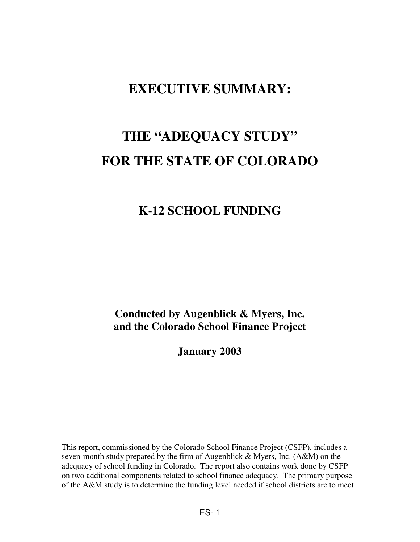## **EXECUTIVE SUMMARY:**

## **THE "ADEQUACY STUDY" FOR THE STATE OF COLORADO**

## **K-12 SCHOOL FUNDING**

## **Conducted by Augenblick & Myers, Inc. and the Colorado School Finance Project**

**January 2003** 

This report, commissioned by the Colorado School Finance Project (CSFP), includes a seven-month study prepared by the firm of Augenblick & Myers, Inc. (A&M) on the adequacy of school funding in Colorado. The report also contains work done by CSFP on two additional components related to school finance adequacy. The primary purpose of the A&M study is to determine the funding level needed if school districts are to meet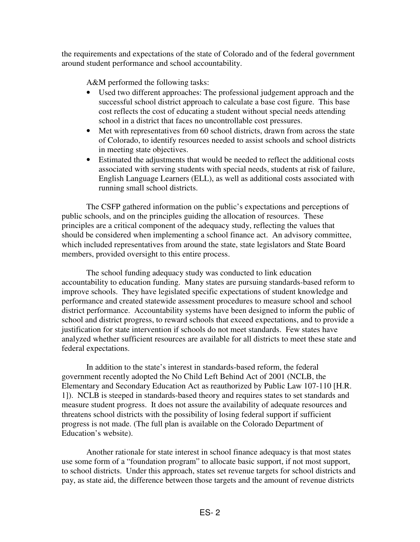the requirements and expectations of the state of Colorado and of the federal government around student performance and school accountability.

A&M performed the following tasks:

- Used two different approaches: The professional judgement approach and the successful school district approach to calculate a base cost figure. This base cost reflects the cost of educating a student without special needs attending school in a district that faces no uncontrollable cost pressures.
- Met with representatives from 60 school districts, drawn from across the state of Colorado, to identify resources needed to assist schools and school districts in meeting state objectives.
- Estimated the adjustments that would be needed to reflect the additional costs associated with serving students with special needs, students at risk of failure, English Language Learners (ELL), as well as additional costs associated with running small school districts.

 The CSFP gathered information on the public's expectations and perceptions of public schools, and on the principles guiding the allocation of resources. These principles are a critical component of the adequacy study, reflecting the values that should be considered when implementing a school finance act. An advisory committee, which included representatives from around the state, state legislators and State Board members, provided oversight to this entire process.

 The school funding adequacy study was conducted to link education accountability to education funding. Many states are pursuing standards-based reform to improve schools. They have legislated specific expectations of student knowledge and performance and created statewide assessment procedures to measure school and school district performance. Accountability systems have been designed to inform the public of school and district progress, to reward schools that exceed expectations, and to provide a justification for state intervention if schools do not meet standards. Few states have analyzed whether sufficient resources are available for all districts to meet these state and federal expectations.

In addition to the state's interest in standards-based reform, the federal government recently adopted the No Child Left Behind Act of 2001 (NCLB, the Elementary and Secondary Education Act as reauthorized by Public Law 107-110 [H.R. 1]). NCLB is steeped in standards-based theory and requires states to set standards and measure student progress. It does not assure the availability of adequate resources and threatens school districts with the possibility of losing federal support if sufficient progress is not made. (The full plan is available on the Colorado Department of Education's website).

Another rationale for state interest in school finance adequacy is that most states use some form of a "foundation program" to allocate basic support, if not most support, to school districts. Under this approach, states set revenue targets for school districts and pay, as state aid, the difference between those targets and the amount of revenue districts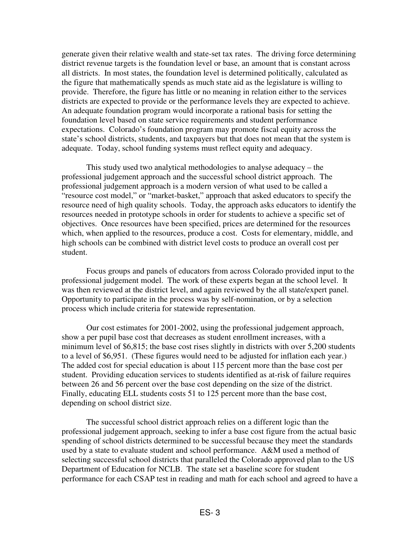generate given their relative wealth and state-set tax rates. The driving force determining district revenue targets is the foundation level or base, an amount that is constant across all districts. In most states, the foundation level is determined politically, calculated as the figure that mathematically spends as much state aid as the legislature is willing to provide. Therefore, the figure has little or no meaning in relation either to the services districts are expected to provide or the performance levels they are expected to achieve. An adequate foundation program would incorporate a rational basis for setting the foundation level based on state service requirements and student performance expectations. Colorado's foundation program may promote fiscal equity across the state's school districts, students, and taxpayers but that does not mean that the system is adequate. Today, school funding systems must reflect equity and adequacy.

This study used two analytical methodologies to analyse adequacy – the professional judgement approach and the successful school district approach. The professional judgement approach is a modern version of what used to be called a "resource cost model," or "market-basket," approach that asked educators to specify the resource need of high quality schools. Today, the approach asks educators to identify the resources needed in prototype schools in order for students to achieve a specific set of objectives. Once resources have been specified, prices are determined for the resources which, when applied to the resources, produce a cost. Costs for elementary, middle, and high schools can be combined with district level costs to produce an overall cost per student.

Focus groups and panels of educators from across Colorado provided input to the professional judgement model. The work of these experts began at the school level. It was then reviewed at the district level, and again reviewed by the all state/expert panel. Opportunity to participate in the process was by self-nomination, or by a selection process which include criteria for statewide representation.

Our cost estimates for 2001-2002, using the professional judgement approach, show a per pupil base cost that decreases as student enrollment increases, with a minimum level of \$6,815; the base cost rises slightly in districts with over 5,200 students to a level of \$6,951. (These figures would need to be adjusted for inflation each year.) The added cost for special education is about 115 percent more than the base cost per student. Providing education services to students identified as at-risk of failure requires between 26 and 56 percent over the base cost depending on the size of the district. Finally, educating ELL students costs 51 to 125 percent more than the base cost, depending on school district size.

The successful school district approach relies on a different logic than the professional judgement approach, seeking to infer a base cost figure from the actual basic spending of school districts determined to be successful because they meet the standards used by a state to evaluate student and school performance. A&M used a method of selecting successful school districts that paralleled the Colorado approved plan to the US Department of Education for NCLB. The state set a baseline score for student performance for each CSAP test in reading and math for each school and agreed to have a